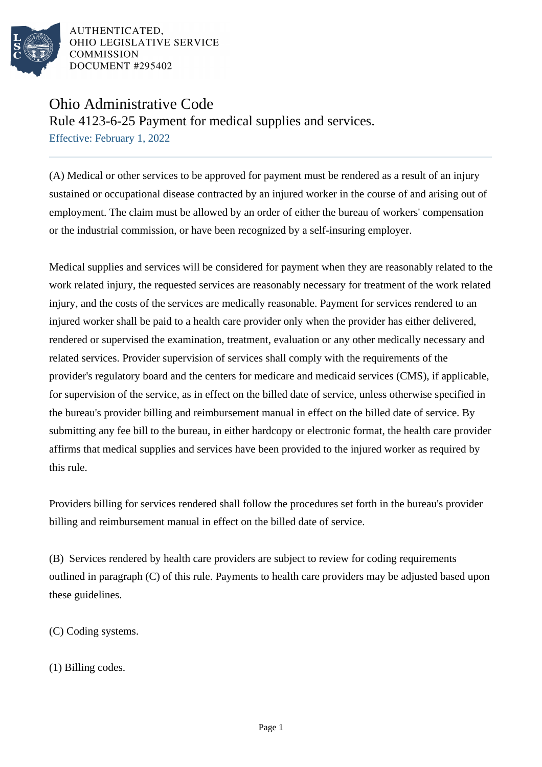

AUTHENTICATED. OHIO LEGISLATIVE SERVICE **COMMISSION** DOCUMENT #295402

## Ohio Administrative Code

Rule 4123-6-25 Payment for medical supplies and services.

Effective: February 1, 2022

(A) Medical or other services to be approved for payment must be rendered as a result of an injury sustained or occupational disease contracted by an injured worker in the course of and arising out of employment. The claim must be allowed by an order of either the bureau of workers' compensation or the industrial commission, or have been recognized by a self-insuring employer.

Medical supplies and services will be considered for payment when they are reasonably related to the work related injury, the requested services are reasonably necessary for treatment of the work related injury, and the costs of the services are medically reasonable. Payment for services rendered to an injured worker shall be paid to a health care provider only when the provider has either delivered, rendered or supervised the examination, treatment, evaluation or any other medically necessary and related services. Provider supervision of services shall comply with the requirements of the provider's regulatory board and the centers for medicare and medicaid services (CMS), if applicable, for supervision of the service, as in effect on the billed date of service, unless otherwise specified in the bureau's provider billing and reimbursement manual in effect on the billed date of service. By submitting any fee bill to the bureau, in either hardcopy or electronic format, the health care provider affirms that medical supplies and services have been provided to the injured worker as required by this rule.

Providers billing for services rendered shall follow the procedures set forth in the bureau's provider billing and reimbursement manual in effect on the billed date of service.

(B) Services rendered by health care providers are subject to review for coding requirements outlined in paragraph (C) of this rule. Payments to health care providers may be adjusted based upon these guidelines.

(C) Coding systems.

(1) Billing codes.